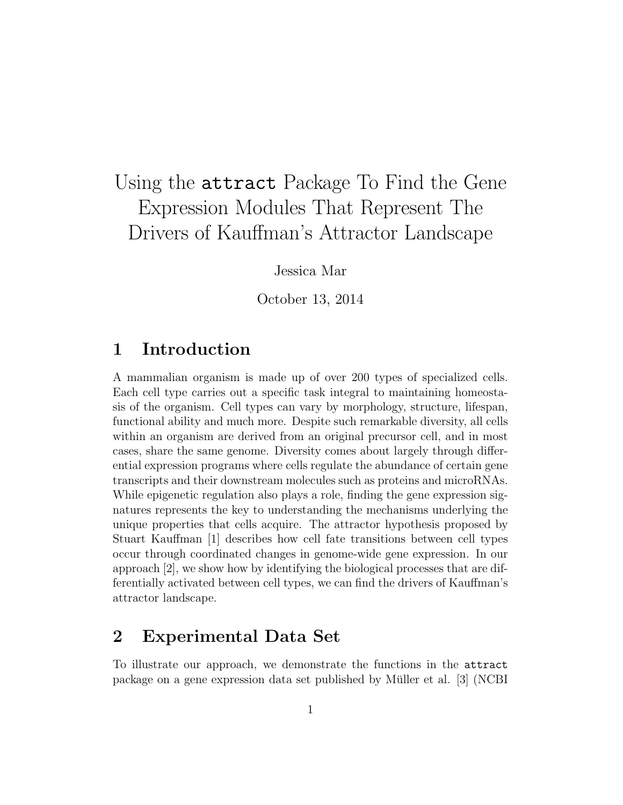# Using the attract Package To Find the Gene Expression Modules That Represent The Drivers of Kauffman's Attractor Landscape

Jessica Mar

October 13, 2014

### 1 Introduction

A mammalian organism is made up of over 200 types of specialized cells. Each cell type carries out a specific task integral to maintaining homeostasis of the organism. Cell types can vary by morphology, structure, lifespan, functional ability and much more. Despite such remarkable diversity, all cells within an organism are derived from an original precursor cell, and in most cases, share the same genome. Diversity comes about largely through differential expression programs where cells regulate the abundance of certain gene transcripts and their downstream molecules such as proteins and microRNAs. While epigenetic regulation also plays a role, finding the gene expression signatures represents the key to understanding the mechanisms underlying the unique properties that cells acquire. The attractor hypothesis proposed by Stuart Kauffman [1] describes how cell fate transitions between cell types occur through coordinated changes in genome-wide gene expression. In our approach [2], we show how by identifying the biological processes that are differentially activated between cell types, we can find the drivers of Kauffman's attractor landscape.

### 2 Experimental Data Set

To illustrate our approach, we demonstrate the functions in the attract package on a gene expression data set published by Müller et al. [3] (NCBI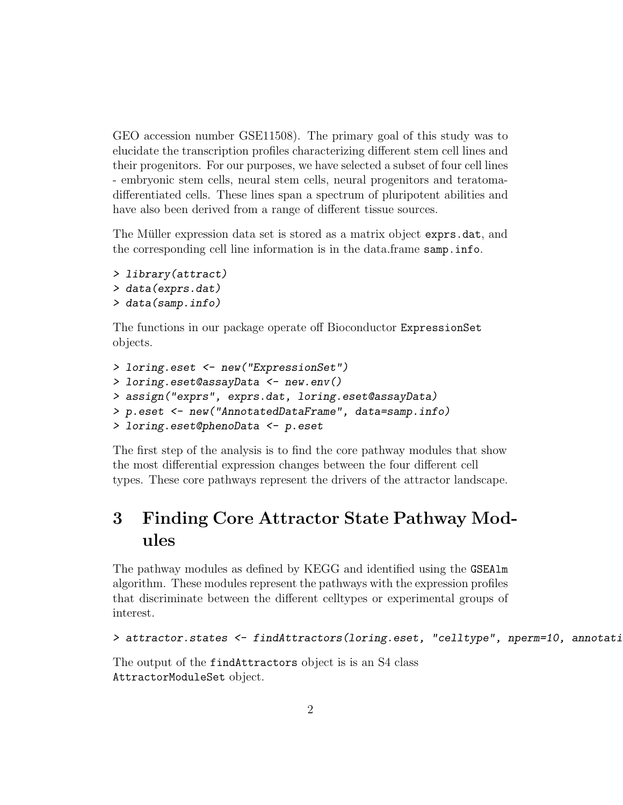GEO accession number GSE11508). The primary goal of this study was to elucidate the transcription profiles characterizing different stem cell lines and their progenitors. For our purposes, we have selected a subset of four cell lines - embryonic stem cells, neural stem cells, neural progenitors and teratomadifferentiated cells. These lines span a spectrum of pluripotent abilities and have also been derived from a range of different tissue sources.

The Müller expression data set is stored as a matrix object exprs.dat, and the corresponding cell line information is in the data.frame samp.info.

```
> library(attract)
> data(exprs.dat)
> data(samp.info)
```
The functions in our package operate off Bioconductor ExpressionSet objects.

```
> loring.eset <- new("ExpressionSet")
> loring.eset@assayData <- new.env()
> assign("exprs", exprs.dat, loring.eset@assayData)
> p.eset <- new("AnnotatedDataFrame", data=samp.info)
> loring.eset@phenoData <- p.eset
```
The first step of the analysis is to find the core pathway modules that show the most differential expression changes between the four different cell types. These core pathways represent the drivers of the attractor landscape.

### 3 Finding Core Attractor State Pathway Modules

The pathway modules as defined by KEGG and identified using the GSEAlm algorithm. These modules represent the pathways with the expression profiles that discriminate between the different celltypes or experimental groups of interest.

```
> attractor.states <- findAttractors(loring.eset, "celltype", nperm=10, annotati
```
The output of the findAttractors object is is an S4 class AttractorModuleSet object.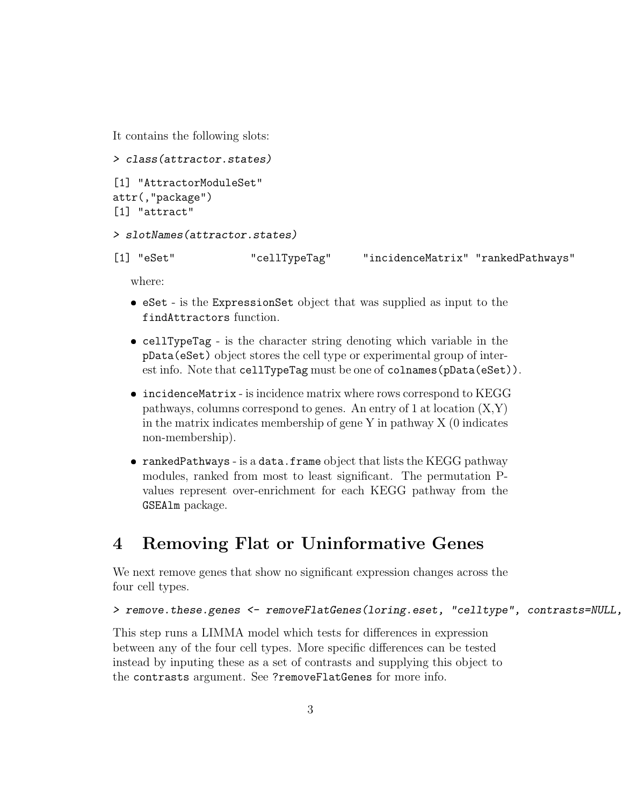It contains the following slots:

```
> class(attractor.states)
[1] "AttractorModuleSet"
attr(,"package")
[1] "attract"
```

```
> slotNames(attractor.states)
```

| $[1]$ "eSet"<br>"cellTypeTag" | "incidenceMatrix" "rankedPathways" |  |
|-------------------------------|------------------------------------|--|
|-------------------------------|------------------------------------|--|

where:

- eSet is the ExpressionSet object that was supplied as input to the findAttractors function.
- cellTypeTag is the character string denoting which variable in the pData(eSet) object stores the cell type or experimental group of interest info. Note that cellTypeTag must be one of colnames (pData(eSet)).
- incidenceMatrix is incidence matrix where rows correspond to KEGG pathways, columns correspond to genes. An entry of 1 at location  $(X,Y)$ in the matrix indicates membership of gene Y in pathway  $X(0)$  indicates non-membership).
- rankedPathways is a data.frame object that lists the KEGG pathway modules, ranked from most to least significant. The permutation Pvalues represent over-enrichment for each KEGG pathway from the GSEAlm package.

### 4 Removing Flat or Uninformative Genes

We next remove genes that show no significant expression changes across the four cell types.

```
> remove.these.genes <- removeFlatGenes(loring.eset, "celltype", contrasts=NULL,
```
This step runs a LIMMA model which tests for differences in expression between any of the four cell types. More specific differences can be tested instead by inputing these as a set of contrasts and supplying this object to the contrasts argument. See ?removeFlatGenes for more info.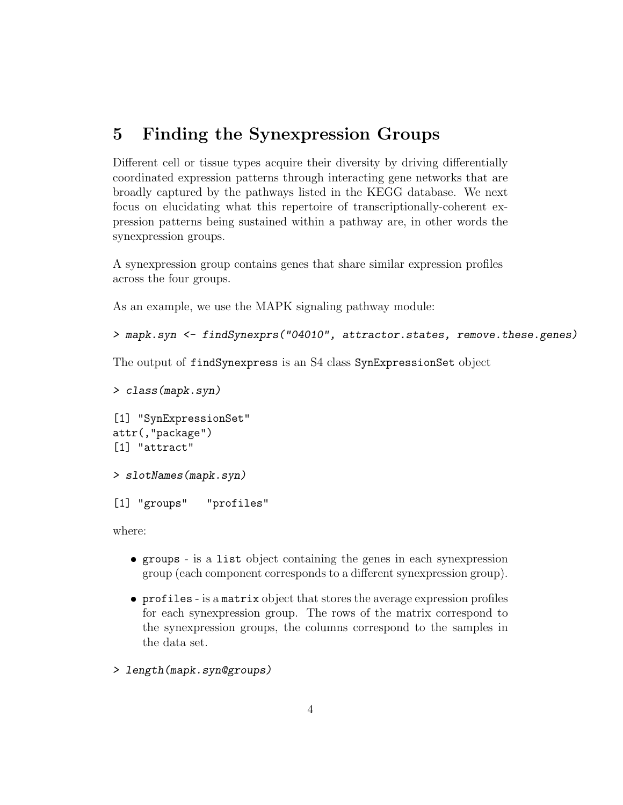### 5 Finding the Synexpression Groups

Different cell or tissue types acquire their diversity by driving differentially coordinated expression patterns through interacting gene networks that are broadly captured by the pathways listed in the KEGG database. We next focus on elucidating what this repertoire of transcriptionally-coherent expression patterns being sustained within a pathway are, in other words the synexpression groups.

A synexpression group contains genes that share similar expression profiles across the four groups.

As an example, we use the MAPK signaling pathway module:

```
> mapk.syn <- findSynexprs("04010", attractor.states, remove.these.genes)
```
The output of findSynexpress is an S4 class SynExpressionSet object

```
> class(mapk.syn)
[1] "SynExpressionSet"
attr(,"package")
[1] "attract"
> slotNames(mapk.syn)
```
[1] "groups" "profiles"

where:

- groups is a list object containing the genes in each synexpression group (each component corresponds to a different synexpression group).
- profiles is a matrix object that stores the average expression profiles for each synexpression group. The rows of the matrix correspond to the synexpression groups, the columns correspond to the samples in the data set.
- > length(mapk.syn@groups)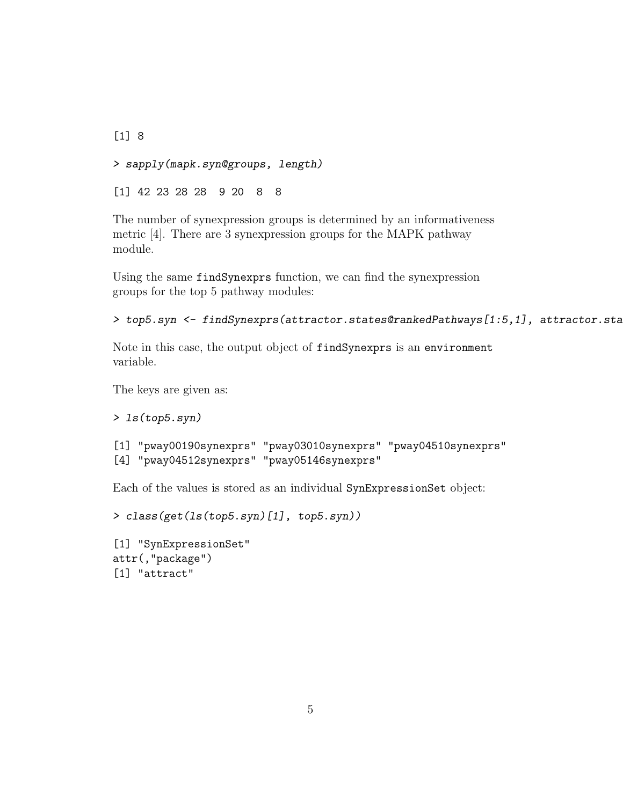[1] 8 > sapply(mapk.syn@groups, length) [1] 42 23 28 28 9 20 8 8

The number of synexpression groups is determined by an informativeness metric [4]. There are 3 synexpression groups for the MAPK pathway module.

Using the same findSynexprs function, we can find the synexpression groups for the top 5 pathway modules:

```
> top5.syn <- findSynexprs(attractor.states@rankedPathways[1:5,1], attractor.sta
```
Note in this case, the output object of findSynexprs is an environment variable.

The keys are given as:

```
> ls(top5.syn)
```

```
[1] "pway00190synexprs" "pway03010synexprs" "pway04510synexprs"
[4] "pway04512synexprs" "pway05146synexprs"
```
Each of the values is stored as an individual SynExpressionSet object:

```
> class(get(ls(top5.syn)[1], top5.syn))
```

```
[1] "SynExpressionSet"
attr(,"package")
[1] "attract"
```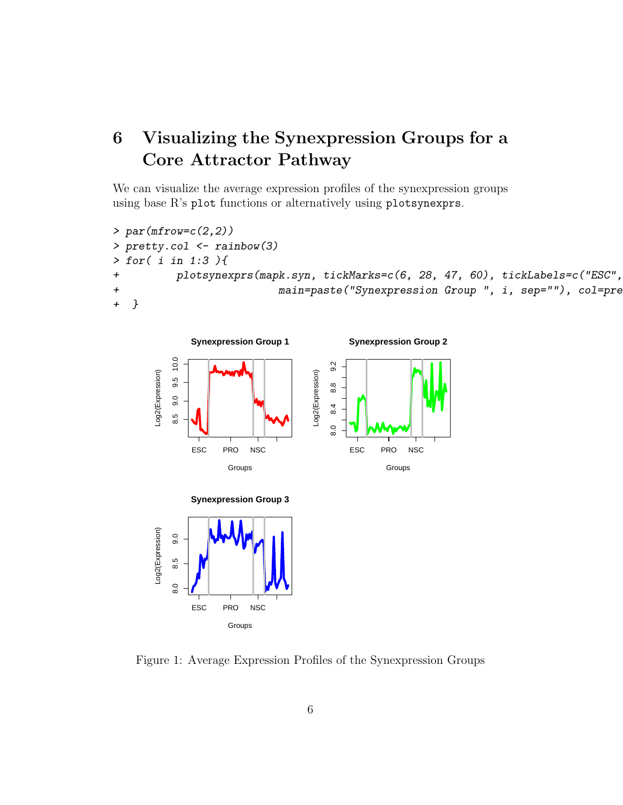# 6 Visualizing the Synexpression Groups for a Core Attractor Pathway

We can visualize the average expression profiles of the synexpression groups using base R's plot functions or alternatively using plotsynexprs.

```
> par(mfrow=c(2,2))> pretty.col <- rainbow(3)
> for( i in 1:3 ){
+ plotsynexprs(mapk.syn, tickMarks=c(6, 28, 47, 60), tickLabels=c("ESC",
+ main=paste("Synexpression Group ", i, sep=""), col=pre
+ }
```






Figure 1: Average Expression Profiles of the Synexpression Groups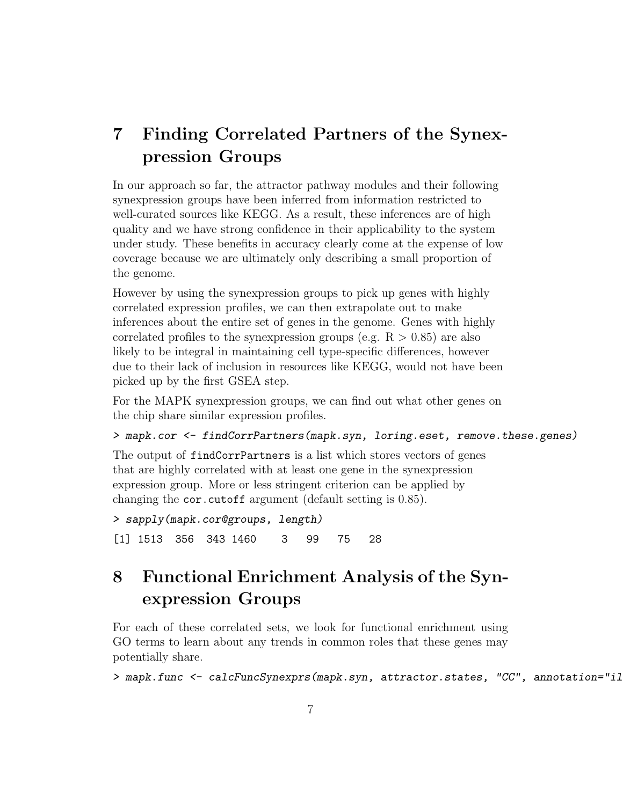## 7 Finding Correlated Partners of the Synexpression Groups

In our approach so far, the attractor pathway modules and their following synexpression groups have been inferred from information restricted to well-curated sources like KEGG. As a result, these inferences are of high quality and we have strong confidence in their applicability to the system under study. These benefits in accuracy clearly come at the expense of low coverage because we are ultimately only describing a small proportion of the genome.

However by using the synexpression groups to pick up genes with highly correlated expression profiles, we can then extrapolate out to make inferences about the entire set of genes in the genome. Genes with highly correlated profiles to the synexpression groups (e.g.  $R > 0.85$ ) are also likely to be integral in maintaining cell type-specific differences, however due to their lack of inclusion in resources like KEGG, would not have been picked up by the first GSEA step.

For the MAPK synexpression groups, we can find out what other genes on the chip share similar expression profiles.

```
> mapk.cor <- findCorrPartners(mapk.syn, loring.eset, remove.these.genes)
```
The output of findCorrPartners is a list which stores vectors of genes that are highly correlated with at least one gene in the synexpression expression group. More or less stringent criterion can be applied by changing the cor.cutoff argument (default setting is 0.85).

```
> sapply(mapk.cor@groups, length)
[1] 1513 356 343 1460 3 99 75 28
```
### 8 Functional Enrichment Analysis of the Synexpression Groups

For each of these correlated sets, we look for functional enrichment using GO terms to learn about any trends in common roles that these genes may potentially share.

> mapk.func <- calcFuncSynexprs(mapk.syn, attractor.states, "CC", annotation="il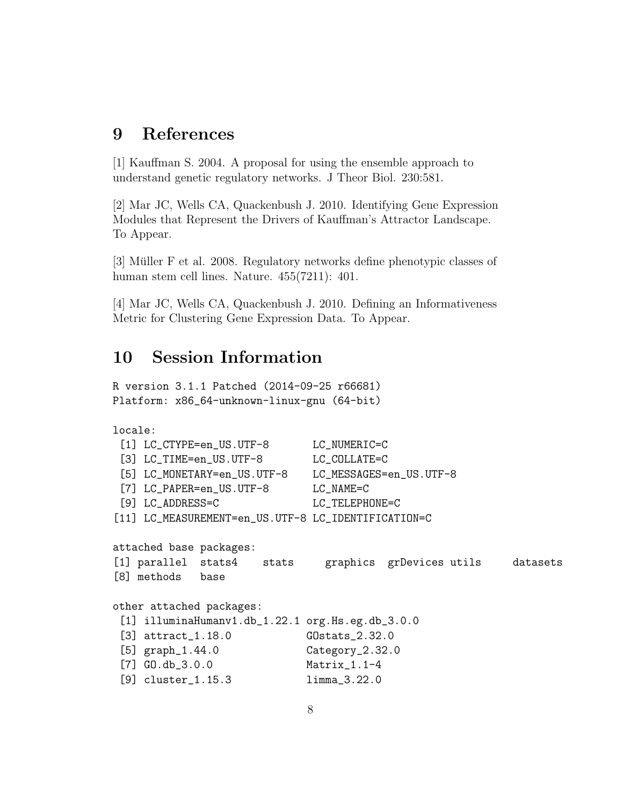### 9 References

[1] Kauffman S. 2004. A proposal for using the ensemble approach to understand genetic regulatory networks. J Theor Biol. 230:581.

[2] Mar JC, Wells CA, Quackenbush J. 2010. Identifying Gene Expression Modules that Represent the Drivers of Kauffman's Attractor Landscape. To Appear.

[3] Müller F et al. 2008. Regulatory networks define phenotypic classes of human stem cell lines. Nature. 455(7211): 401.

[4] Mar JC, Wells CA, Quackenbush J. 2010. Defining an Informativeness Metric for Clustering Gene Expression Data. To Appear.

### 10 Session Information

R version 3.1.1 Patched (2014-09-25 r66681) Platform: x86\_64-unknown-linux-gnu (64-bit)

```
locale:
 [1] LC_CTYPE=en_US.UTF-8 LC_NUMERIC=C
 [3] LC_TIME=en_US.UTF-8 LC_COLLATE=C
 [5] LC_MONETARY=en_US.UTF-8 LC_MESSAGES=en_US.UTF-8
 [7] LC_PAPER=en_US.UTF-8 LC_NAME=C
 [9] LC_ADDRESS=C LC_TELEPHONE=C
[11] LC_MEASUREMENT=en_US.UTF-8 LC_IDENTIFICATION=C
attached base packages:
[1] parallel stats4 stats graphics grDevices utils datasets
[8] methods base
other attached packages:
 [1] illuminaHumanv1.db_1.22.1 org.Hs.eg.db_3.0.0
 [3] attract_1.18.0 GOstats_2.32.0
 [5] graph_1.44.0 Category_2.32.0
 [7] GO.db_3.0.0 Matrix_1.1-4
 [9] cluster_1.15.3 limma_3.22.0
```